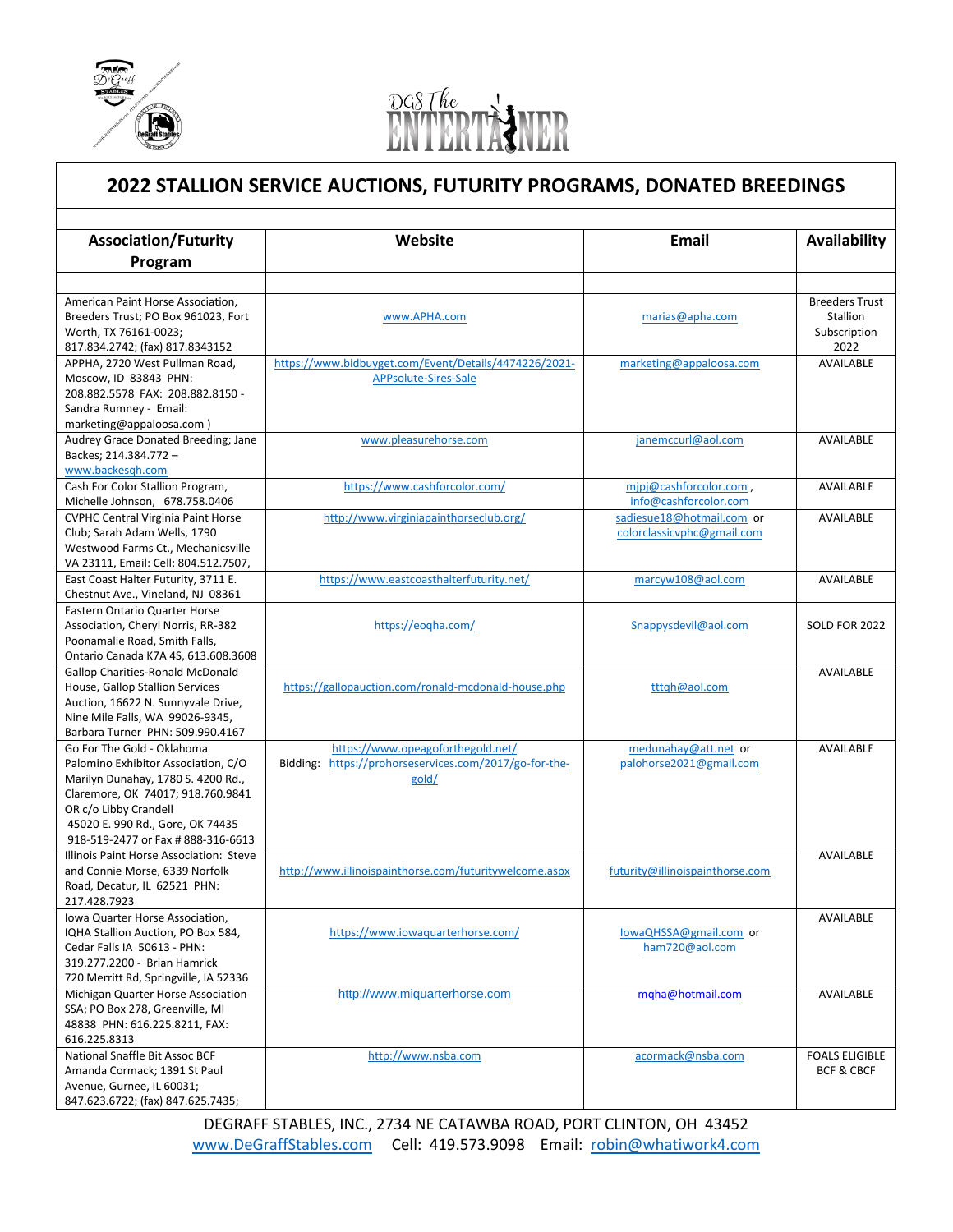

l



## **2022 STALLION SERVICE AUCTIONS, FUTURITY PROGRAMS, DONATED BREEDINGS**

| <b>Association/Futurity</b>                                                 | Website                                                | Email                           | Availability             |
|-----------------------------------------------------------------------------|--------------------------------------------------------|---------------------------------|--------------------------|
|                                                                             |                                                        |                                 |                          |
| Program                                                                     |                                                        |                                 |                          |
|                                                                             |                                                        |                                 |                          |
| American Paint Horse Association,                                           |                                                        |                                 | <b>Breeders Trust</b>    |
| Breeders Trust; PO Box 961023, Fort                                         | www.APHA.com                                           | marias@apha.com                 | Stallion<br>Subscription |
| Worth, TX 76161-0023;<br>817.834.2742; (fax) 817.8343152                    |                                                        |                                 | 2022                     |
| APPHA, 2720 West Pullman Road,                                              | https://www.bidbuyget.com/Event/Details/4474226/2021-  | marketing@appaloosa.com         | AVAILABLE                |
| Moscow, ID 83843 PHN:                                                       | APPsolute-Sires-Sale                                   |                                 |                          |
| 208.882.5578 FAX: 208.882.8150 -                                            |                                                        |                                 |                          |
| Sandra Rumney - Email:                                                      |                                                        |                                 |                          |
| marketing@appaloosa.com)                                                    |                                                        |                                 |                          |
| Audrey Grace Donated Breeding; Jane                                         | www.pleasurehorse.com                                  | janemccurl@aol.com              | <b>AVAILABLE</b>         |
| Backes; 214.384.772 -                                                       |                                                        |                                 |                          |
| www.backesgh.com                                                            |                                                        |                                 |                          |
| Cash For Color Stallion Program,                                            | https://www.cashforcolor.com/                          | mipj@cashforcolor.com,          | <b>AVAILABLE</b>         |
| Michelle Johnson, 678.758.0406                                              |                                                        | info@cashforcolor.com           |                          |
| <b>CVPHC Central Virginia Paint Horse</b>                                   | http://www.virginiapainthorseclub.org/                 | sadiesue18@hotmail.com or       | AVAILABLE                |
| Club; Sarah Adam Wells, 1790                                                |                                                        | colorclassicvphc@gmail.com      |                          |
| Westwood Farms Ct., Mechanicsville                                          |                                                        |                                 |                          |
| VA 23111, Email: Cell: 804.512.7507,                                        |                                                        |                                 |                          |
| East Coast Halter Futurity, 3711 E.                                         | https://www.eastcoasthalterfuturity.net/               | marcyw108@aol.com               | AVAILABLE                |
| Chestnut Ave., Vineland, NJ 08361                                           |                                                        |                                 |                          |
| <b>Eastern Ontario Quarter Horse</b>                                        |                                                        |                                 |                          |
| Association, Cheryl Norris, RR-382                                          | https://eogha.com/                                     | Snappysdevil@aol.com            | <b>SOLD FOR 2022</b>     |
| Poonamalie Road, Smith Falls,                                               |                                                        |                                 |                          |
| Ontario Canada K7A 4S, 613.608.3608                                         |                                                        |                                 |                          |
| <b>Gallop Charities-Ronald McDonald</b><br>House, Gallop Stallion Services  | https://gallopauction.com/ronald-mcdonald-house.php    | tttqh@aol.com                   | AVAILABLE                |
| Auction, 16622 N. Sunnyvale Drive,                                          |                                                        |                                 |                          |
| Nine Mile Falls, WA 99026-9345,                                             |                                                        |                                 |                          |
| Barbara Turner PHN: 509.990.4167                                            |                                                        |                                 |                          |
| Go For The Gold - Oklahoma                                                  | https://www.opeagoforthegold.net/                      | medunahay@att.net or            | <b>AVAILABLE</b>         |
| Palomino Exhibitor Association, C/O                                         | Bidding: https://prohorseservices.com/2017/go-for-the- | palohorse2021@gmail.com         |                          |
| Marilyn Dunahay, 1780 S. 4200 Rd.,                                          | gold/                                                  |                                 |                          |
| Claremore, OK 74017; 918.760.9841                                           |                                                        |                                 |                          |
| OR c/o Libby Crandell                                                       |                                                        |                                 |                          |
| 45020 E. 990 Rd., Gore, OK 74435                                            |                                                        |                                 |                          |
| 918-519-2477 or Fax # 888-316-6613                                          |                                                        |                                 |                          |
| Illinois Paint Horse Association: Steve                                     |                                                        |                                 | AVAILABLE                |
| and Connie Morse, 6339 Norfolk                                              | http://www.illinoispainthorse.com/futuritywelcome.aspx | futurity@illinoispainthorse.com |                          |
| Road, Decatur, IL 62521 PHN:                                                |                                                        |                                 |                          |
| 217.428.7923                                                                |                                                        |                                 |                          |
| Iowa Quarter Horse Association,                                             |                                                        |                                 | <b>AVAILABLE</b>         |
| IQHA Stallion Auction, PO Box 584,                                          | https://www.iowaquarterhorse.com/                      | lowaQHSSA@gmail.com or          |                          |
| Cedar Falls IA 50613 - PHN:                                                 |                                                        | ham720@aol.com                  |                          |
| 319.277.2200 - Brian Hamrick                                                |                                                        |                                 |                          |
| 720 Merritt Rd, Springville, IA 52336<br>Michigan Quarter Horse Association | http://www.miquarterhorse.com                          | mgha@hotmail.com                | AVAILABLE                |
| SSA; PO Box 278, Greenville, MI                                             |                                                        |                                 |                          |
| 48838 PHN: 616.225.8211, FAX:                                               |                                                        |                                 |                          |
| 616.225.8313                                                                |                                                        |                                 |                          |
| National Snaffle Bit Assoc BCF                                              | http://www.nsba.com                                    | acormack@nsba.com               | <b>FOALS ELIGIBLE</b>    |
| Amanda Cormack; 1391 St Paul                                                |                                                        |                                 | BCF & CBCF               |
| Avenue, Gurnee, IL 60031;                                                   |                                                        |                                 |                          |
| 847.623.6722; (fax) 847.625.7435;                                           |                                                        |                                 |                          |

DEGRAFF STABLES, INC., 2734 NE CATAWBA ROAD, PORT CLINTON, OH 43452 [www.DeGraffStables.com](http://www.degraffstables.com/) Cell: 419.573.9098 Email: [robin@whatiwork4.com](mailto:robin@whatiwork4.com)